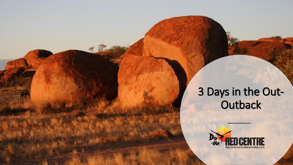## 3 Days in the Out-**Outback**

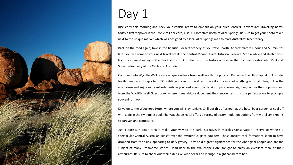

## Day 1

Rise early this morning and pack your vehicle ready to embark on your #RedCentreNT adventure! Travelling north, today's first stopover is the Tropic of Capricorn, just 30 kilometres north of Alice Springs. Be sure to get your photo taken next to the unique marker which was designed by a local Alice Springs man to mark Australia's bicentenary.

Back on the road again, take in the beautiful desert scenery as you travel north. Approximately 1 hour and 50 minutes later you will come to your next travel break, the Central Mount Stuart Historical Reserve. Stop a while and stretch your legs – you are standing in the dead centre of Australia! Visit the historical reserve that commemorates John McDouall Stuart's discovery of the Centre of Australia.

Continue onto Wycliffe Well, a very unique outback town well worth the pit stop. Known as the UFO Capital of Australia for its hundreds of reported UFO sightings - look to the skies to see if you can spot anything unusual. Hang out in the roadhouse and enjoy some refreshments as you read about the details of paranormal sightings across the shop walls and from the Wycliffe Well Guest book, where many visitors document their encounters. It is the perfect place to pick up a souvenir or two.

Drive on to the Wauchope Hotel, where you will stay tonight. Chill out this afternoon at the hotel beer garden or cool off with a dip in the swimming pool. The Wauchope Hotel offers a variety of accommodation options from motel style rooms to caravan and camp sites.

Just before sun down tonight make your way to the Karlu Karlu/Devils Marbles Conservation Reserve to witness a spectacular Central Australian sunset over the mysterious giant boulders. These ancient rock formations seem to have dropped from the skies, appearing to defy gravity. They hold a great significance for the Aboriginal people and are the subject of many Dreamtime stories. Head back to the Wauchope Hotel tonight to enjoy an excellent meal at their restaurant. Be sure to check out their extensive wine cellar and indulge in night cap before bed.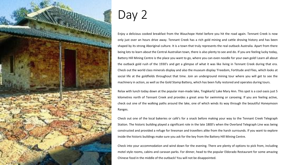

## Day 2

Enjoy a delicious cooked breakfast from the Wauchope Hotel before you hit the road again. Tennant Creek is now only just over an hours drive away. Tennant Creek has a rich gold mining and cattle droving history and has been shaped by its strong Aboriginal culture. It is a town that truly represents the real outback Australia. Apart from there being lots to learn about the Central Australian town, there is also plenty to see and do. If you are feeling lucky today, Battery Hill Mining Centre is the place you want to go, where you can even noodle for your own gold! Learn all about the outback gold rush of the 1930's and get a glimpse of what it was like living in Tennant Creek during that era. Check out the world class minerals display and also the museum display 'Freedom, Fortitude and Flies, which looks at social life at the goldfields throughout that time. Join an underground mining tour where you will get to see the machinery in action, as well as the Gold Stamp Battery, which has been fully restored and operates during tours.

Relax with lunch today down at the popular man-made lake, Tingkkarli/ Lake Mary Ann. This spot is a cool oasis just 5 kilometres north of Tennant Creek and provides a great area for swimming or canoeing. If you are feeling active, check out one of the walking paths around the lake, one of which winds its way through the beautiful Honeymoon Ranges.

Check out one of the local bakeries or café's for a snack before making your way to the Tennant Creek Telegraph Station. The historic building played a significant role in the late 1800's when the Overland Telegraph Line was being constructed and provided a refuge for linesman and travellers alike from the harsh surrounds. If you want to explore inside the historic buildings make sure you ask for the key from the Battery Hill Mining Centre.

Check into your accommodation and wind down for the evening. There are plenty of options to pick from, including motel style rooms, cabins and caravan parks. For dinner, head to the popular Eldorado Restaurant for some amazing Chinese food in the middle of the outback! You will not be disappointed.